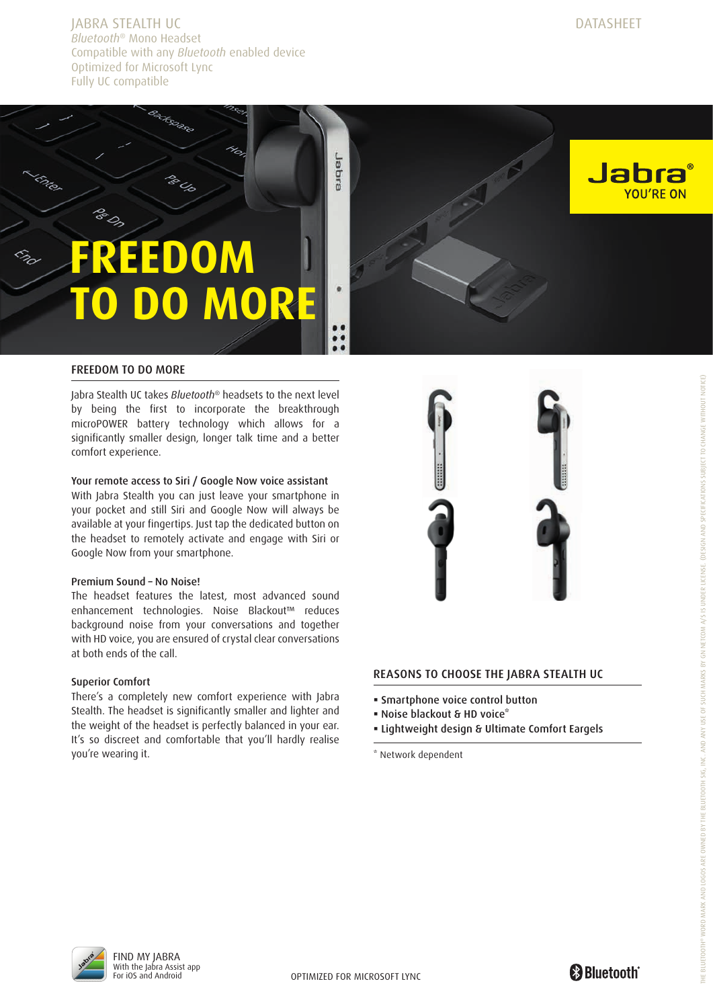**Jabra** 

YOU'RE ON

JABRA STEALTH UC DATASHEET *Bluetooth*® Mono Headset Compatible with any *Bluetooth* enabled device Optimized for Microsoft Lync Fully UC compatible

Backspage

# **FREEDOM MORE**

Japra



Jabra Stealth UC takes *Bluetooth*® headsets to the next level by being the first to incorporate the breakthrough microPOWER battery technology which allows for a significantly smaller design, longer talk time and a better comfort experience.

### Your remote access to Siri / Google Now voice assistant

With Jabra Stealth you can just leave your smartphone in your pocket and still Siri and Google Now will always be available at your fingertips. Just tap the dedicated button on the headset to remotely activate and engage with Siri or Google Now from your smartphone.

#### Premium Sound – No Noise!

The headset features the latest, most advanced sound enhancement technologies. Noise Blackout™ reduces background noise from your conversations and together with HD voice, you are ensured of crystal clear conversations at both ends of the call.

#### Superior Comfort

There's a completely new comfort experience with Jabra Stealth. The headset is significantly smaller and lighter and the weight of the headset is perfectly balanced in your ear. It's so discreet and comfortable that you'll hardly realise you're wearing it. The same state of the second state of the second state of the second state of the second state  $\ddot{a}$ 



### REASONS TO CHOOSE THE JABRA STEALTH UC

- § Smartphone voice control button
- § Noise blackout & HD voice\*
- § Lightweight design & Ultimate Comfort Eargels
- 



THE BLUETOOTH® WORD MARK AND LOGOS ARE OWNED BY THE BLUETOOTH SIG. INC. AND ANY USE OF SUCH MARKS BY GN NETCOM A/S IS UNDER LICENSE. (DESIGN AND SPECIFICATIONS SUBJECT TO CHANGE WITHOUT NOTICE)

HE BLUETDOTH® WORD MARK AND LOGOS ARE DWNED BY THE BLUETOOTH SIG, INC. AND ANY USE OF SUCH MARKS BY GN NETCOM A/S IS UNDER LICENSE. (DESIGN AND SPECIFICATIONS SUBJECT TO CHANGE WITHOUT NOTICE)